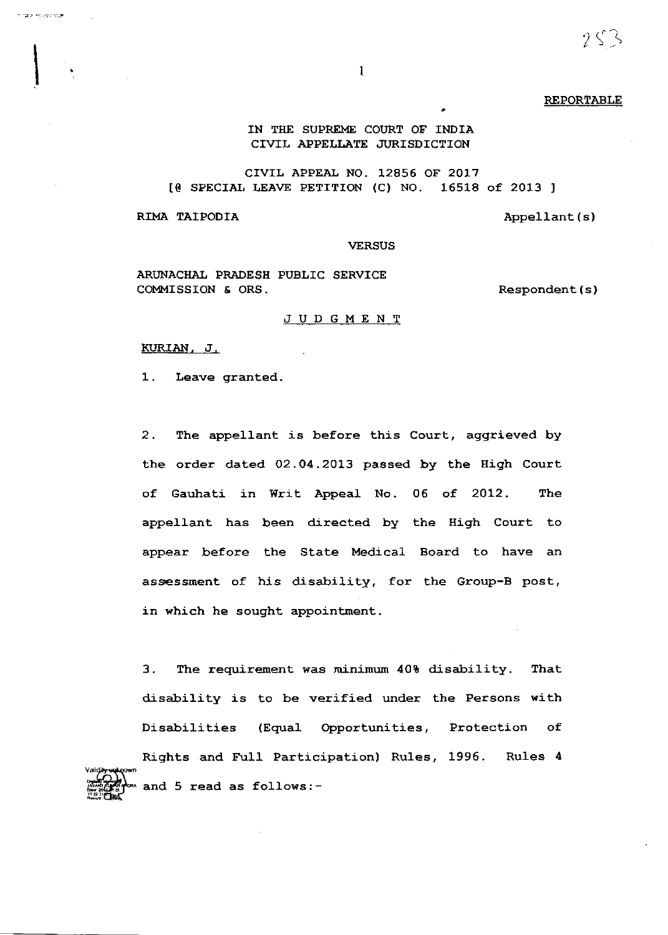$2$   $\frac{1}{2}$ 

REPORTABLE

## IN THE SUPREME COURT OF INDIA CIVIL APPELLATE JURISDICTION

CIVIL APPEAL NO. 12856 OF 2OL7 [0 SPECIAI LEAVE PETITIoN (c) No. 16518 of 2013 ]

RIMA TAIPODIA  $\qquad \qquad \text{Appendant(s)}$ 

nuan relativity

**VERSUS** 

ARUNACHAL PRADESII PUBLIC SERVICE COMMISSION & ORS.

Respondent ( s )

## JUDGMENT

KURIAN, J.

1. Leave granted.

2. The appellant is before this Court, aggrieved by the order dated 02 .O4.2O13 passed by the High Court of Gauhati in Writ Appeal No. 06 of 2012. The appellant has been directed by the High Court to appear before the State Medical Board to have an assessment of his disability, for the Group-B post, in which he sought appointment.

3. The requirement was minimum 40% disability. That disability is to be verified under the Persons with Disabilities (EquaL opportunities, Protection of Rights and Full Participation) Ru1es, 1995. Rules <sup>4</sup> and 5 read as follows:-

I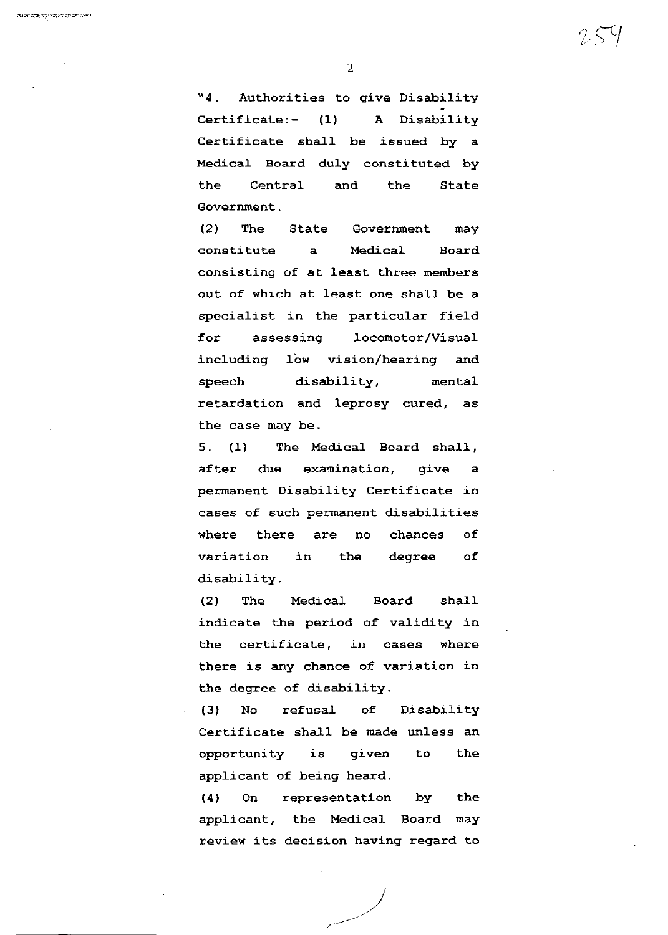"4. Authorities to give Disability Certificate:- (1) A Disability Certificate sha11 be issued by a Medical Board duly constituted by the Central and the State Government .

(2) The State Government may constitute a Medical Board consisting of at least three menbers out of which at least one shall be a specialist in the particular field for assessing locomotor/Visual including low vision/hearing and speech disability, mental retardation and Ieprosy cured, as the case may be.

5. (1) The Medical Board shall, after due examination, give a permanent Disability Certificate in cases of such permanent disabilities where there are no chances of variation in the degree of disability.

(2) The Medical Board shall indicate the period of validity in the certificate, in cases where there is any chance of variation in the degree of disability.

(3) No refusal of Disability Certificate shal1 be made unless an opportunity is given to the applicant of being heard.

(4) On representation by the applicant, the Medical Board may rewiew its decision having regard to  $254$ 

,)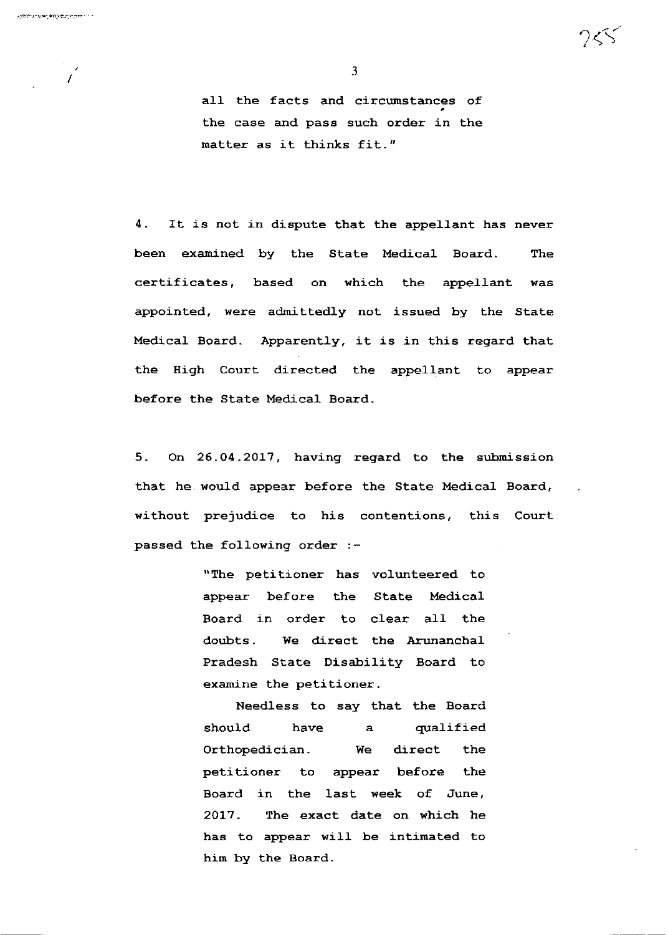$\overline{I}$ 

3

aI1 the facts and circumstances of the case and pass such order in the matter as it thinks fit."

4. It is not in dispute that the appellant has never been examined by the State Medica]. Board. The certificates, based on which the appellant was appointed, were admittedly not issued by the State Medical Board. Apparently, it is in this regard that the High Court directed the appel1ant to appear before the State Medical Board.

5. On 26.04.2017, having regard to the submission that he. would appear before the State Medical Board, without prejudice to his contentions, this Court passed the following order :-

> "The petitioner has volunteered to appear before the State Medical Board in order to clear all the doubts. We direct the Arunanchal Pradesh state Disability Board to examine the petitioner.

> NeedLess to say that the Board should have a qualified Orthopedician. We direct the petitioner to appear before the Board in the last week of June, 2017. The exact date on which he has to appear will be intimated to him by the Board.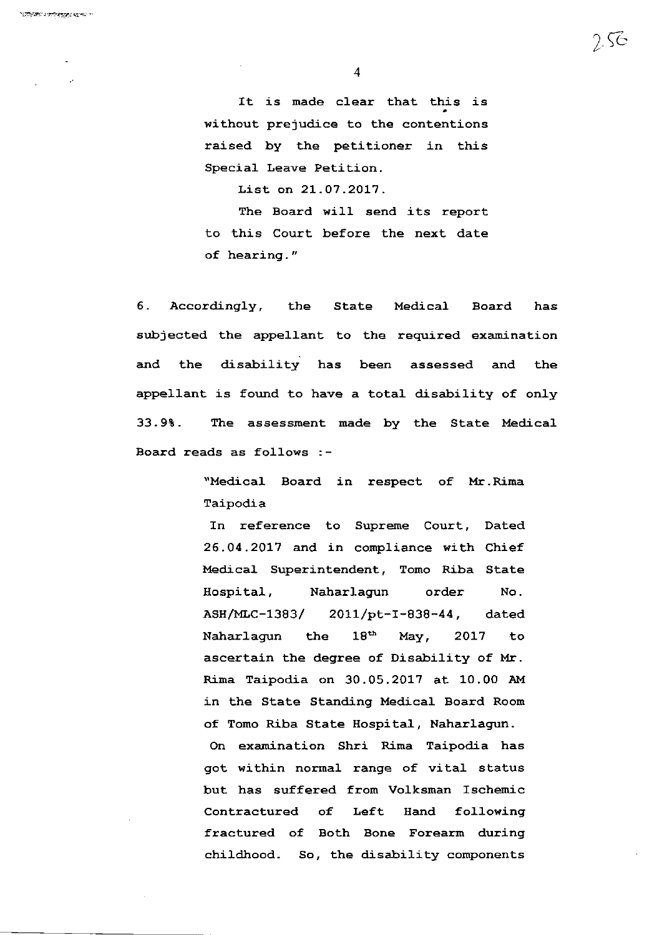It is made clear that this is without prejudice to the contentions raised by the petitioner in this Special Leave Petition.

List on 2L.O7 .2017 .

The Board will send its report to this Court before the next date of hearing, "

6, Accordingly, the State Medical Board has subjected the appellant to the required examination and the disability has been assessed and the appellant is found to have a total disability of only 33.9t. Ihe assessment made by the State Medical. Board reads as fol1ows : -

> "Medical Board in respect of Mr.Rima Taipodia

In reference to Supreme Court, Dated 26.04.2017 and in compliance with Chief Medical Superintendent, Tomo Riba State Hospital, Naharlagun order No. ASH/MLC-1383/ ZOLL/pL-L-838-44 , dated Naharlagun the 18<sup>th</sup> May, 2017 to ascertain the degree of Disability of Mr. Rima Taipodia on 30.05.2017 at 10.00 AM in the state Standing Medical Board Room of Tomo Riba State Hospital, Naharlagun.

On examination Shri Rima Taipodia has got within normal range of vital status but has suffered from Volksman Ischenic contractured of Left Hand following fractured of Both Bone Forearm during childhood. So, the disability components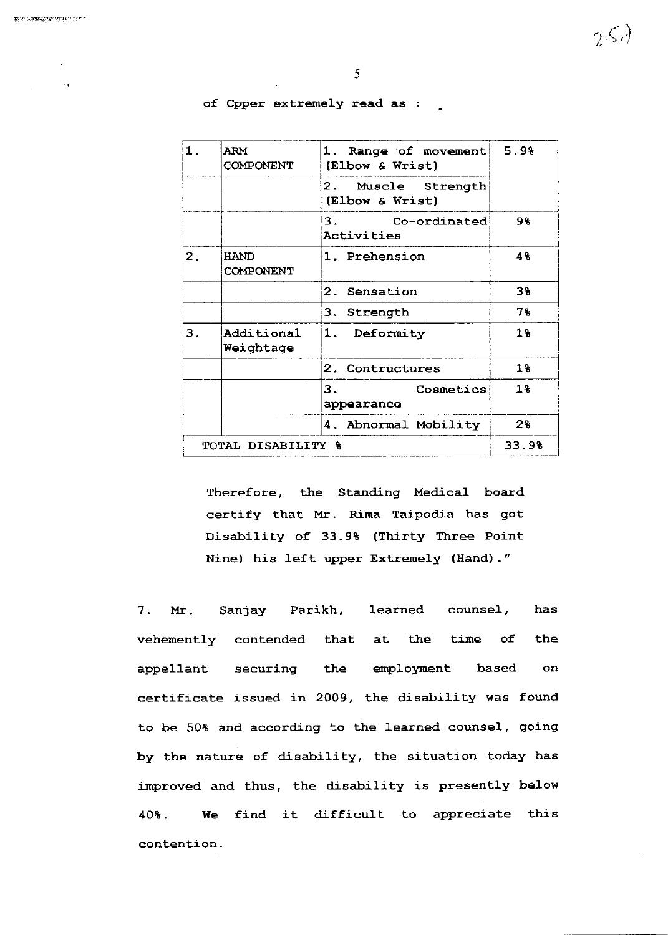| $\mathbf 1$                   | <b>ARM</b><br>COMPONENT         | 1. Range of movement<br>(Elbow & Wrist) | 5.9%  |
|-------------------------------|---------------------------------|-----------------------------------------|-------|
|                               |                                 | 2. Muscle Strength<br>(Elbow & Wrist)   |       |
|                               |                                 | 3.<br>Co-ordinated<br>Activities        | 98    |
| 2.                            | <b>HAND</b><br><b>COMPONENT</b> | 1. Prehension                           | 48    |
|                               |                                 | 2. Sensation                            | 3%    |
|                               |                                 | 3. Strength                             | 78    |
| З.                            | Additional<br>Weightage         | 1. Deformity                            | $1\%$ |
|                               |                                 | 2. Contructures                         | $1\%$ |
|                               |                                 | 3.<br>Cosmetics<br>appearance           | 18    |
|                               |                                 | 4. Abnormal Mobility                    | 2%    |
| <b>TOTAL DISABILITY &amp;</b> |                                 |                                         | 33.98 |

of Cpper extremely read as

Therefore, the Standing Medical board certify that Mr. Rima Taipodia has got Disability of 33.9t (Thirty Three Point Nine) his left upper Extremely (Eand) . "

7. Mr. Sanjay Parikh, learned counsel, has vehemently contended that at the time of the appellant securing the employment based on certificate issued in 2009, the disability was found to be 50% and according to the learned counsel, going by the nature of disability, the situation today has improved and thus, the disability is presently below 40%. We find it difficult to appreciate this contention -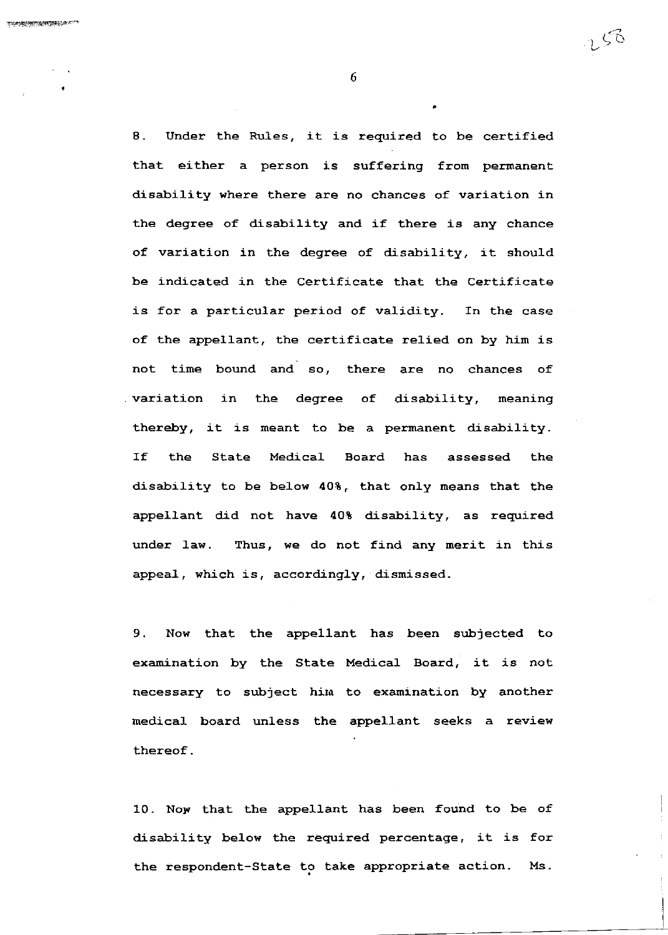8. Under the Rules, it is required to be certified that either a person is suffering from permanent disability where there are no chances of variation in the degree of disability and if there is any chance of variation in the degree of disability, it should be indicated in the Certificate that the Certificate is for a particular period of validity. In the case of the appellant, the certificate relied on by him is not time bound and so, there are no chances of variation in the degree of disabi1ity, meaning thereby, it is meant to be a permanent disability. If the State Medical Board has assessed the disability to be below 40%, that only means that the appellant did not have 40% disability, as required under 1aw. Thus, we do not find any merit in this appea1, which is, accordingly, dismissed.

9. Now that the appellant has been subjected to exanination by the State Medical Board, it is not necessary to subject him to examination by another medical board unless the appellant seeks a review thereof .

10. Now that the appellant has been found to be of disability below the required percentage, it ig for the respondent-State to take appropriate action. Ms.

6

L  $\zeta$ ි

:L1'eeaFalEFF:.i,r1if '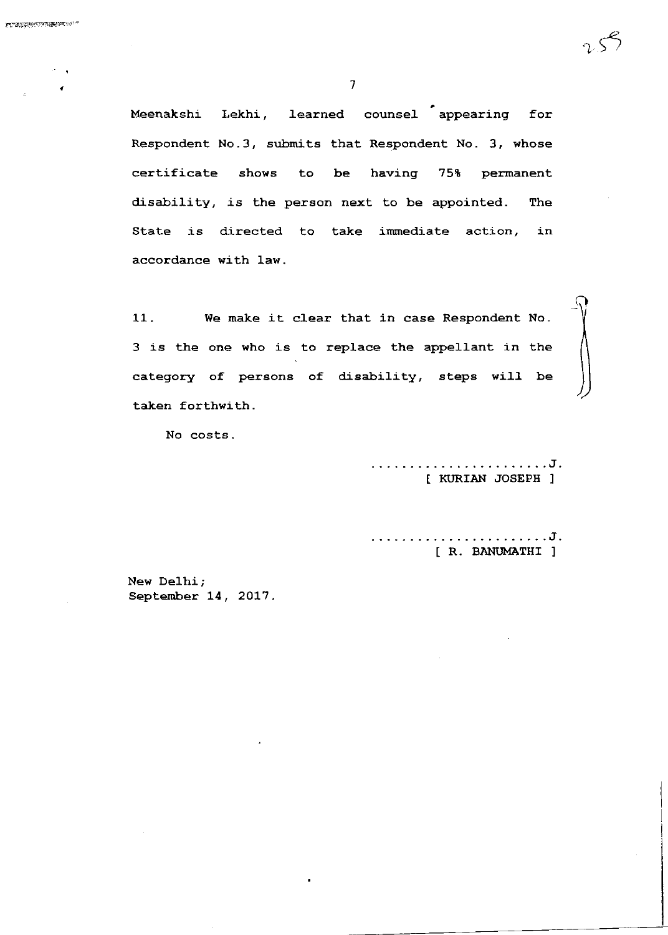Meenakshi Lekhi, learned counsel appearing for Respondent No.3, submits that Respondent No. 3, whose certificate shows to be having 75% permanent disability, is the person next to be appointed. The State is directed to take immediate action, in accordance with law.

11. We make it clear that in case Respondent No. 3 is the one who is to replace the appellant in the category of persons of disability, steps will be taken forthwith.

No costs -

. . . . . . . . . . . . . . J . [ KURIAN JOSEPH ]

. . . . . . . . . . . . . J.  $\frac{1}{2} \left( \frac{1}{2} \right) \left( \frac{1}{2} \right) \left( \frac{1}{2} \right) \left( \frac{1}{2} \right) \left( \frac{1}{2} \right)$ [ R. BANUMATHI ]

New Delhi ; September 14, 2017.